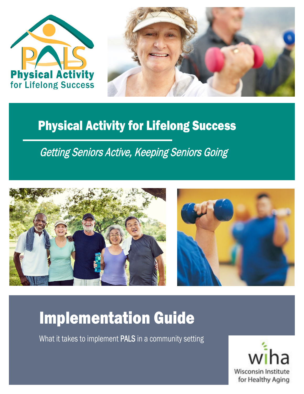

# Physical Activity for Lifelong Success

Getting Seniors Active, Keeping Seniors Going





# Implementation Guide

What it takes to implement PALS in a community setting

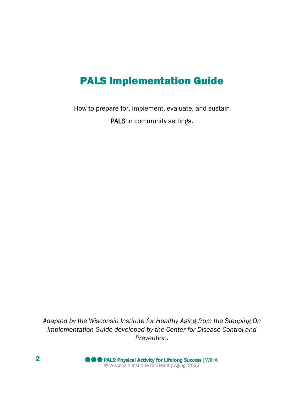# PALS Implementation Guide

How to prepare for, implement, evaluate, and sustain PALS in community settings.

*Adapted by the Wisconsin Institute for Healthy Aging from the Stepping On Implementation Guide developed by the Center for Disease Control and Prevention.*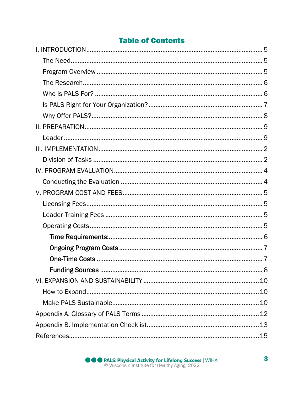# **Table of Contents**

| 8 |
|---|
|   |
|   |
|   |
|   |
|   |
|   |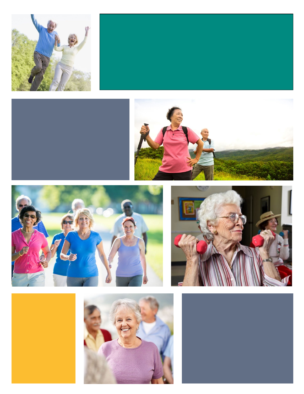











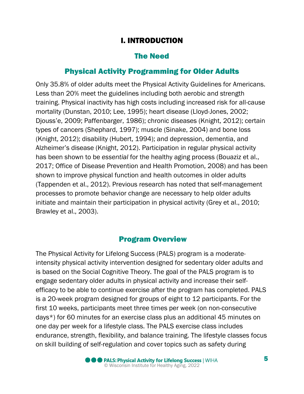# I. INTRODUCTION

#### The Need

## <span id="page-4-0"></span>Physical Activity Programming for Older Adults

<span id="page-4-1"></span>Only 35.8% of older adults meet the Physical Activity Guidelines for Americans. Less than 20% meet the guidelines including both aerobic and strength training. Physical inactivity has high costs including increased risk for all-cause mortality (Dunstan, 2010; Lee, 1995); heart disease (Lloyd-Jones, 2002; Djouss'e, 2009; Paffenbarger, 1986); chronic diseases (Knight, 2012); certain types of cancers (Shephard, 1997); muscle (Sinake, 2004) and bone loss (Knight, 2012); disability (Hubert, 1994); and depression, dementia, and Alzheimer's disease (Knight, 2012). Participation in regular physical activity has been shown to be *essential* for the healthy aging process (Bouaziz et al., 2017; Office of Disease Prevention and Health Promotion, 2008) and has been shown to improve physical function and health outcomes in older adults (Tappenden et al., 2012). Previous research has noted that self-management processes to promote behavior change are necessary to help older adults initiate and maintain their participation in physical activity (Grey et al., 2010; Brawley et al., 2003).

#### <span id="page-4-2"></span>Program Overview

The Physical Activity for Lifelong Success (PALS) program is a moderateintensity physical activity intervention designed for sedentary older adults and is based on the Social Cognitive Theory. The goal of the PALS program is to engage sedentary older adults in physical activity and increase their selfefficacy to be able to continue exercise after the program has completed. PALS is a 20-week program designed for groups of eight to 12 participants. For the first 10 weeks, participants meet three times per week (on non-consecutive days\*) for 60 minutes for an exercise class plus an additional 45 minutes on one day per week for a lifestyle class. The PALS exercise class includes endurance, strength, flexibility, and balance training. The lifestyle classes focus on skill building of self-regulation and cover topics such as safety during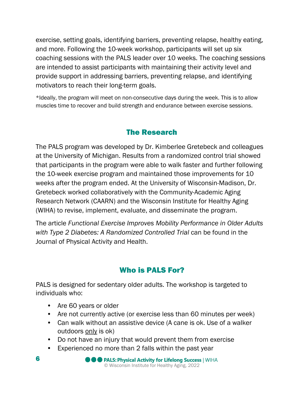exercise, setting goals, identifying barriers, preventing relapse, healthy eating, and more. Following the 10-week workshop, participants will set up six coaching sessions with the PALS leader over 10 weeks. The coaching sessions are intended to assist participants with maintaining their activity level and provide support in addressing barriers, preventing relapse, and identifying motivators to reach their long-term goals.

\*Ideally, the program will meet on non-consecutive days during the week. This is to allow muscles time to recover and build strength and endurance between exercise sessions.

# The Research

<span id="page-5-0"></span>The PALS program was developed by Dr. Kimberlee Gretebeck and colleagues at the University of Michigan. Results from a randomized control trial showed that participants in the program were able to walk faster and further following the 10-week exercise program and maintained those improvements for 10 weeks after the program ended. At the University of Wisconsin-Madison, Dr. Gretebeck worked collaboratively with the Community-Academic Aging Research Network (CAARN) and the Wisconsin Institute for Healthy Aging (WIHA) to revise, implement, evaluate, and disseminate the program.

The article *Functional Exercise Improves Mobility Performance in Older Adults with Type 2 Diabetes: A Randomized Controlled Trial* can be found in the Journal of Physical Activity and Health.

# Who is PALS For?

<span id="page-5-1"></span>PALS is designed for sedentary older adults. The workshop is targeted to individuals who:

- Are 60 years or older
- Are not currently active (or exercise less than 60 minutes per week)
- Can walk without an assistive device (A cane is ok. Use of a walker outdoors only is ok)
- Do not have an injury that would prevent them from exercise
- Experienced no more than 2 falls within the past year

6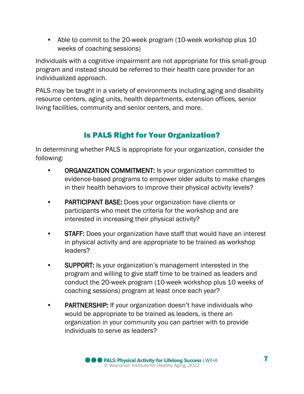• Able to commit to the 20-week program (10-week workshop plus 10 weeks of coaching sessions)

Individuals with a cognitive impairment are not appropriate for this small-group program and instead should be referred to their health care provider for an individualized approach.

PALS may be taught in a variety of environments including aging and disability resource centers, aging units, health departments, extension offices, senior living facilities, community and senior centers, and more.

# Is PALS Right for Your Organization?

<span id="page-6-0"></span>In determining whether PALS is appropriate for your organization, consider the following:

- ORGANIZATION COMMITMENT: Is your organization committed to evidence-based programs to empower older adults to make changes in their health behaviors to improve their physical activity levels?
- PARTICIPANT BASE: Does your organization have clients or participants who meet the criteria for the workshop and are interested in increasing their physical activity?
- STAFF: Does your organization have staff that would have an interest in physical activity and are appropriate to be trained as workshop leaders?
- SUPPORT: Is your organization's management interested in the program and willing to give staff time to be trained as leaders and conduct the 20-week program (10-week workshop plus 10 weeks of coaching sessions) program at least once each year?
- PARTNERSHIP: If your organization doesn't have individuals who would be appropriate to be trained as leaders, is there an organization in your community you can partner with to provide individuals to serve as leaders?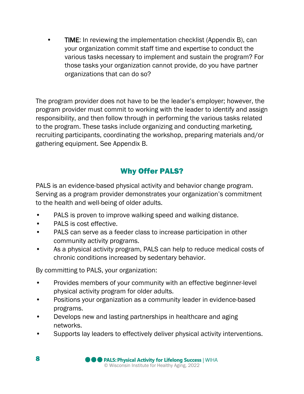**TIME:** In reviewing the implementation checklist (Appendix B), can your organization commit staff time and expertise to conduct the various tasks necessary to implement and sustain the program? For those tasks your organization cannot provide, do you have partner organizations that can do so?

The program provider does not have to be the leader's employer; however, the program provider must commit to working with the leader to identify and assign responsibility, and then follow through in performing the various tasks related to the program. These tasks include organizing and conducting marketing, recruiting participants, coordinating the workshop, preparing materials and/or gathering equipment. See Appendix B.

# Why Offer PALS?

<span id="page-7-0"></span>PALS is an evidence-based physical activity and behavior change program. Serving as a program provider demonstrates your organization's commitment to the health and well-being of older adults.

- PALS is proven to improve walking speed and walking distance.
- PALS is cost effective.
- PALS can serve as a feeder class to increase participation in other community activity programs.
- As a physical activity program, PALS can help to reduce medical costs of chronic conditions increased by sedentary behavior.

By committing to PALS, your organization:

- Provides members of your community with an effective beginner-level physical activity program for older adults.
- Positions your organization as a community leader in evidence-based programs.
- Develops new and lasting partnerships in healthcare and aging networks.
- Supports lay leaders to effectively deliver physical activity interventions.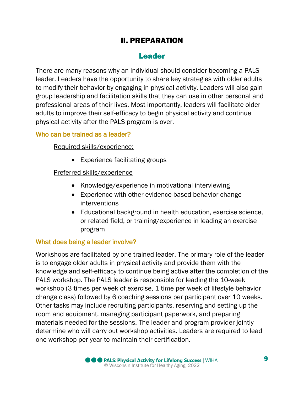# II. PREPARATION

# Leader

<span id="page-8-1"></span><span id="page-8-0"></span>There are many reasons why an individual should consider becoming a PALS leader. Leaders have the opportunity to share key strategies with older adults to modify their behavior by engaging in physical activity. Leaders will also gain group leadership and facilitation skills that they can use in other personal and professional areas of their lives. Most importantly, leaders will facilitate older adults to improve their self-efficacy to begin physical activity and continue physical activity after the PALS program is over.

#### Who can be trained as a leader?

#### Required skills/experience:

• Experience facilitating groups

#### Preferred skills/experience

- Knowledge/experience in motivational interviewing
- Experience with other evidence-based behavior change interventions
- Educational background in health education, exercise science, or related field, or training/experience in leading an exercise program

# What does being a leader involve?

Workshops are facilitated by one trained leader. The primary role of the leader is to engage older adults in physical activity and provide them with the knowledge and self-efficacy to continue being active after the completion of the PALS workshop. The PALS leader is responsible for leading the 10-week workshop (3 times per week of exercise, 1 time per week of lifestyle behavior change class) followed by 6 coaching sessions per participant over 10 weeks. Other tasks may include recruiting participants, reserving and setting up the room and equipment, managing participant paperwork, and preparing materials needed for the sessions. The leader and program provider jointly determine who will carry out workshop activities. Leaders are required to lead one workshop per year to maintain their certification.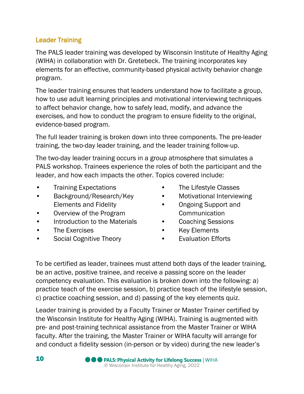#### Leader Training

The PALS leader training was developed by Wisconsin Institute of Healthy Aging (WIHA) in collaboration with Dr. Gretebeck. The training incorporates key elements for an effective, community-based physical activity behavior change program.

The leader training ensures that leaders understand how to facilitate a group, how to use adult learning principles and motivational interviewing techniques to affect behavior change, how to safely lead, modify, and advance the exercises, and how to conduct the program to ensure fidelity to the original, evidence-based program.

The full leader training is broken down into three components. The pre-leader training, the two-day leader training, and the leader training follow-up.

The two-day leader training occurs in a group atmosphere that simulates a PALS workshop. Trainees experience the roles of both the participant and the leader, and how each impacts the other. Topics covered include:

- Training Expectations
- Background/Research/Key Elements and Fidelity
- Overview of the Program
- Introduction to the Materials
- The Exercises
- Social Cognitive Theory
- The Lifestyle Classes
- Motivational Interviewing
- Ongoing Support and Communication
- Coaching Sessions
- Key Elements
- Evaluation Efforts

To be certified as leader, trainees must attend both days of the leader training, be an active, positive trainee, and receive a passing score on the leader competency evaluation. This evaluation is broken down into the following: a) practice teach of the exercise session, b) practice teach of the lifestyle session, c) practice coaching session, and d) passing of the key elements quiz.

Leader training is provided by a Faculty Trainer or Master Trainer certified by the Wisconsin Institute for Healthy Aging (WIHA). Training is augmented with pre- and post-training technical assistance from the Master Trainer or WIHA faculty. After the training, the Master Trainer or WIHA faculty will arrange for and conduct a fidelity session (in-person or by video) during the new leader's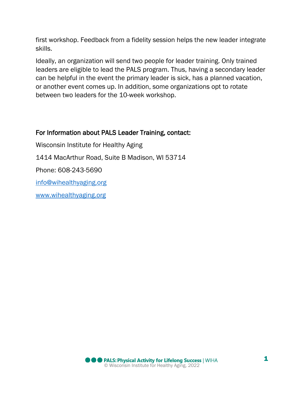first workshop. Feedback from a fidelity session helps the new leader integrate skills.

Ideally, an organization will send two people for leader training. Only trained leaders are eligible to lead the PALS program. Thus, having a secondary leader can be helpful in the event the primary leader is sick, has a planned vacation, or another event comes up. In addition, some organizations opt to rotate between two leaders for the 10-week workshop.

#### For Information about PALS Leader Training, contact:

Wisconsin Institute for Healthy Aging 1414 MacArthur Road, Suite B Madison, WI 53714 Phone: 608-243-5690 [info@wihealthyaging.org](mailto:info@wihealthyaging.org) [www.wihealthyaging.org](http://www.wihealthyaging.org/)

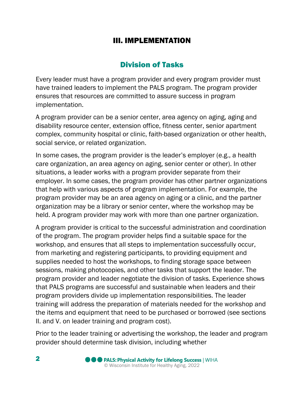# III. IMPLEMENTATION

# Division of Tasks

<span id="page-11-1"></span><span id="page-11-0"></span>Every leader must have a program provider and every program provider must have trained leaders to implement the PALS program. The program provider ensures that resources are committed to assure success in program implementation.

A program provider can be a senior center, area agency on aging, aging and disability resource center, extension office, fitness center, senior apartment complex, community hospital or clinic, faith-based organization or other health, social service, or related organization.

In some cases, the program provider is the leader's employer (e.g., a health care organization, an area agency on aging, senior center or other). In other situations, a leader works with a program provider separate from their employer. In some cases, the program provider has other partner organizations that help with various aspects of program implementation. For example, the program provider may be an area agency on aging or a clinic, and the partner organization may be a library or senior center, where the workshop may be held. A program provider may work with more than one partner organization.

A program provider is critical to the successful administration and coordination of the program. The program provider helps find a suitable space for the workshop, and ensures that all steps to implementation successfully occur, from marketing and registering participants, to providing equipment and supplies needed to host the workshops, to finding storage space between sessions, making photocopies, and other tasks that support the leader. The program provider and leader negotiate the division of tasks. Experience shows that PALS programs are successful and sustainable when leaders and their program providers divide up implementation responsibilities. The leader training will address the preparation of materials needed for the workshop and the items and equipment that need to be purchased or borrowed (see sections II. and V. on leader training and program cost).

Prior to the leader training or advertising the workshop, the leader and program provider should determine task division, including whether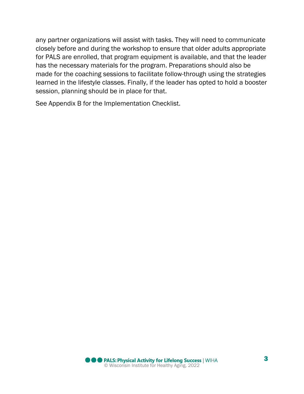any partner organizations will assist with tasks. They will need to communicate closely before and during the workshop to ensure that older adults appropriate for PALS are enrolled, that program equipment is available, and that the leader has the necessary materials for the program. Preparations should also be made for the coaching sessions to facilitate follow-through using the strategies learned in the lifestyle classes. Finally, if the leader has opted to hold a booster session, planning should be in place for that.

See Appendix B for the Implementation Checklist.

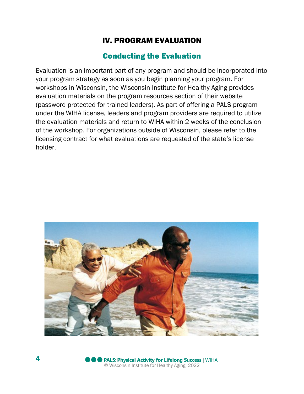# IV. PROGRAM EVALUATION

# Conducting the Evaluation

<span id="page-13-1"></span><span id="page-13-0"></span>Evaluation is an important part of any program and should be incorporated into your program strategy as soon as you begin planning your program. For workshops in Wisconsin, the Wisconsin Institute for Healthy Aging provides evaluation materials on the program resources section of their website (password protected for trained leaders). As part of offering a PALS program under the WIHA license, leaders and program providers are required to utilize the evaluation materials and return to WIHA within 2 weeks of the conclusion of the workshop. For organizations outside of Wisconsin, please refer to the licensing contract for what evaluations are requested of the state's license holder.

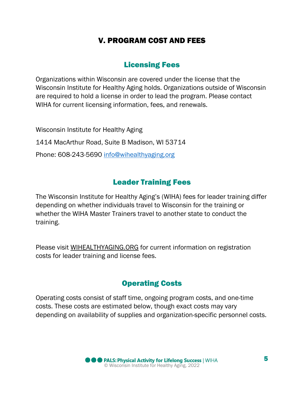# V. PROGRAM COST AND FEES

# Licensing Fees

<span id="page-14-1"></span><span id="page-14-0"></span>Organizations within Wisconsin are covered under the license that the Wisconsin Institute for Healthy Aging holds. Organizations outside of Wisconsin are required to hold a license in order to lead the program. Please contact WIHA for current licensing information, fees, and renewals.

Wisconsin Institute for Healthy Aging 1414 MacArthur Road, Suite B Madison, WI 53714 Phone: 608-243-5690 [info@wihealthyaging.org](mailto:info@wihealthyaging.org)

# Leader Training Fees

<span id="page-14-2"></span>The Wisconsin Institute for Healthy Aging's (WIHA) fees for leader training differ depending on whether individuals travel to Wisconsin for the training or whether the WIHA Master Trainers travel to another state to conduct the training.

Please visit WIHEALTHYAGING.ORG for current information on registration costs for leader training and license fees.

# Operating Costs

<span id="page-14-3"></span>Operating costs consist of staff time, ongoing program costs, and one-time costs. These costs are estimated below, though exact costs may vary depending on availability of supplies and organization-specific personnel costs.

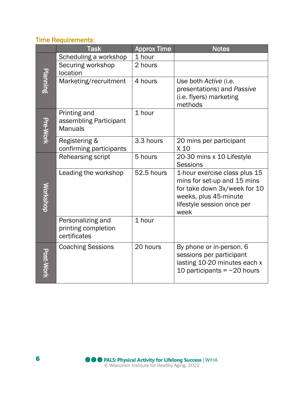# <span id="page-15-0"></span>Time Requirements:

|                 | <b>Task</b>                                              | <b>Approx Time</b> | <b>Notes</b>                                                                                                                                                |
|-----------------|----------------------------------------------------------|--------------------|-------------------------------------------------------------------------------------------------------------------------------------------------------------|
| Planning        | Scheduling a workshop                                    | 1 hour             |                                                                                                                                                             |
|                 | Securing workshop<br>location                            | 2 hours            |                                                                                                                                                             |
|                 | Marketing/recruitment                                    | 4 hours            | Use both Active (i.e.<br>presentations) and Passive<br>(i.e. flyers) marketing<br>methods                                                                   |
| Pre-Work        | Printing and<br>assembling Participant<br><b>Manuals</b> | 1 hour             |                                                                                                                                                             |
|                 | Registering &<br>confirming participants                 | 3.3 hours          | 20 mins per participant<br>$X$ 10                                                                                                                           |
| <b>Workshop</b> | <b>Rehearsing script</b>                                 | 5 hours            | 20-30 mins x 10 Lifestyle<br><b>Sessions</b>                                                                                                                |
|                 | Leading the workshop                                     | 52.5 hours         | 1-hour exercise class plus 15<br>mins for set-up and 15 mins<br>for take down 3x/week for 10<br>weeks, plus 45-minute<br>lifestyle session once per<br>week |
|                 | Personalizing and<br>printing completion<br>certificates | 1 hour             |                                                                                                                                                             |
| Post-Work       | <b>Coaching Sessions</b>                                 | 20 hours           | By phone or in-person. 6<br>sessions per participant<br>lasting 10-20 minutes each x<br>10 participants = $\sim$ 20 hours                                   |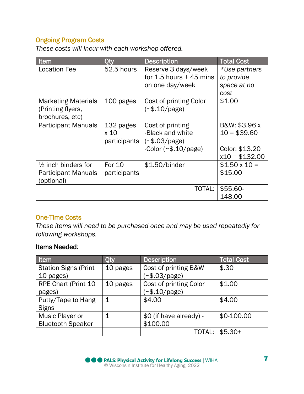#### <span id="page-16-0"></span>Ongoing Program Costs

*These costs will incur with each workshop offered.*

| Item                           | <b>Qty</b>   | <b>Description</b>         | <b>Total Cost</b>   |
|--------------------------------|--------------|----------------------------|---------------------|
| <b>Location Fee</b>            | 52.5 hours   | Reserve 3 days/week        | *Use partners       |
|                                |              | for $1.5$ hours $+45$ mins | to provide          |
|                                |              | on one day/week            | space at no         |
|                                |              |                            | cost                |
| <b>Marketing Materials</b>     | 100 pages    | Cost of printing Color     | \$1.00              |
| (Printing flyers,              |              | $(*$.10/page)$             |                     |
| brochures, etc)                |              |                            |                     |
| <b>Participant Manuals</b>     | 132 pages    | Cost of printing           | B&W: \$3.96 x       |
|                                | x 10         | -Black and white           | $10 = $39.60$       |
|                                | participants | $(*$.03/page)$             |                     |
|                                |              | -Color $(\sim $.10$ /page) | Color: \$13.20      |
|                                |              |                            | $x10 = $132.00$     |
| $\frac{1}{2}$ inch binders for | For 10       | $$1.50/b$ inder            | $$1.50 \times 10 =$ |
| <b>Participant Manuals</b>     | participants |                            | \$15.00             |
| (optional)                     |              |                            |                     |
|                                |              | TOTAL:                     | $$55.60-$           |
|                                |              |                            | 148.00              |

#### <span id="page-16-1"></span>One-Time Costs

*These items will need to be purchased once and may be used repeatedly for following workshops.*

#### Items Needed:

| Item                        | Oty      | <b>Description</b>        | <b>Total Cost</b> |
|-----------------------------|----------|---------------------------|-------------------|
| <b>Station Signs (Print</b> | 10 pages | Cost of printing B&W      | \$.30             |
| 10 pages)                   |          | $(*$.03/page)$            |                   |
| RPE Chart (Print 10         | 10 pages | Cost of printing Color    | \$1.00            |
| pages)                      |          | $(\sim 10 / \text{page})$ |                   |
| Putty/Tape to Hang          | 1        | \$4.00                    | \$4.00            |
| <b>Signs</b>                |          |                           |                   |
| Music Player or             | 1        | \$0 (if have already) -   | $$0-100.00$       |
| <b>Bluetooth Speaker</b>    |          | \$100.00                  |                   |
|                             |          | <b>TOTAL:</b>             | $$5.30+$          |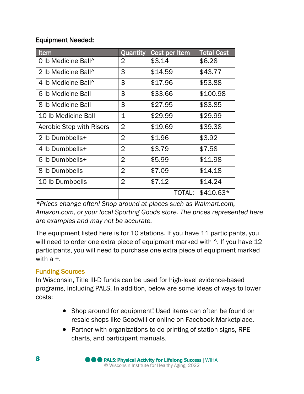#### Equipment Needed:

| Item                     | Quantity       | Cost per Item | <b>Total Cost</b> |
|--------------------------|----------------|---------------|-------------------|
| O Ib Medicine Ball^      | $\overline{2}$ | \$3.14        | \$6.28            |
| 2 lb Medicine Ball^      | 3              | \$14.59       | \$43.77           |
| 4 lb Medicine Ball^      | 3              | \$17.96       | \$53.88           |
| 6 Ib Medicine Ball       | 3              | \$33.66       | \$100.98          |
| 8 lb Medicine Ball       | 3              | \$27.95       | \$83.85           |
| 10 lb Medicine Ball      | $\mathbf 1$    | \$29.99       | \$29.99           |
| Aerobic Step with Risers | $\overline{2}$ | \$19.69       | \$39.38           |
| 2 lb Dumbbells+          | $\overline{2}$ | \$1.96        | \$3.92            |
| 4 lb Dumbbells+          | $\overline{2}$ | \$3.79        | \$7.58            |
| 6 lb Dumbbells+          | $\overline{2}$ | \$5.99        | \$11.98           |
| 8 lb Dumbbells           | $\overline{2}$ | \$7.09        | \$14.18           |
| 10 lb Dumbbells          | $\overline{2}$ | \$7.12        | \$14.24           |
|                          |                | TOTAL:        | $$410.63*$        |

*\*Prices change often! Shop around at places such as Walmart.com, Amazon.com, or your local Sporting Goods store. The prices represented here are examples and may not be accurate.* 

The equipment listed here is for 10 stations. If you have 11 participants, you will need to order one extra piece of equipment marked with  $\gamma$ . If you have 12 participants, you will need to purchase one extra piece of equipment marked with  $a +$ .

#### <span id="page-17-0"></span>Funding Sources

In Wisconsin, Title III-D funds can be used for high-level evidence-based programs, including PALS. In addition, below are some ideas of ways to lower costs:

- Shop around for equipment! Used items can often be found on resale shops like Goodwill or online on Facebook Marketplace.
- Partner with organizations to do printing of station signs, RPE charts, and participant manuals.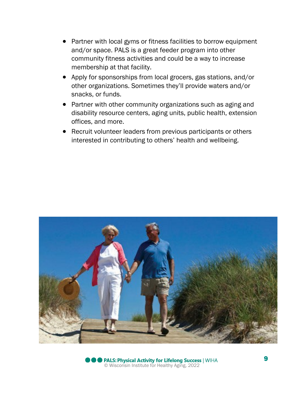- Partner with local gyms or fitness facilities to borrow equipment and/or space. PALS is a great feeder program into other community fitness activities and could be a way to increase membership at that facility.
- Apply for sponsorships from local grocers, gas stations, and/or other organizations. Sometimes they'll provide waters and/or snacks, or funds.
- Partner with other community organizations such as aging and disability resource centers, aging units, public health, extension offices, and more.
- Recruit volunteer leaders from previous participants or others interested in contributing to others' health and wellbeing.

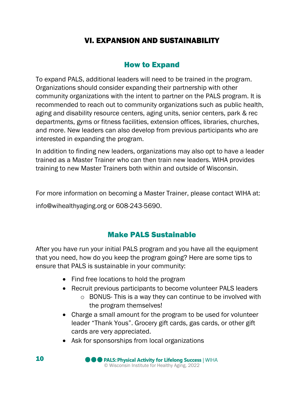# VI. EXPANSION AND SUSTAINABILITY

# How to Expand

<span id="page-19-1"></span><span id="page-19-0"></span>To expand PALS, additional leaders will need to be trained in the program. Organizations should consider expanding their partnership with other community organizations with the intent to partner on the PALS program. It is recommended to reach out to community organizations such as public health, aging and disability resource centers, aging units, senior centers, park & rec departments, gyms or fitness facilities, extension offices, libraries, churches, and more. New leaders can also develop from previous participants who are interested in expanding the program.

In addition to finding new leaders, organizations may also opt to have a leader trained as a Master Trainer who can then train new leaders. WIHA provides training to new Master Trainers both within and outside of Wisconsin.

For more information on becoming a Master Trainer, please contact WIHA at:

info@wihealthyaging.org or 608-243-5690.

# Make PALS Sustainable

<span id="page-19-2"></span>After you have run your initial PALS program and you have all the equipment that you need, how do you keep the program going? Here are some tips to ensure that PALS is sustainable in your community:

- Find free locations to hold the program
- Recruit previous participants to become volunteer PALS leaders
	- o BONUS- This is a way they can continue to be involved with the program themselves!
- Charge a small amount for the program to be used for volunteer leader "Thank Yous". Grocery gift cards, gas cards, or other gift cards are very appreciated.
- Ask for sponsorships from local organizations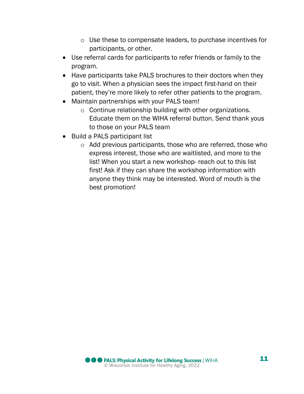- o Use these to compensate leaders, to purchase incentives for participants, or other.
- Use referral cards for participants to refer friends or family to the program.
- Have participants take PALS brochures to their doctors when they go to visit. When a physician sees the impact first-hand on their patient, they're more likely to refer other patients to the program.
- Maintain partnerships with your PALS team!
	- o Continue relationship building with other organizations. Educate them on the WIHA referral button. Send thank yous to those on your PALS team
- Build a PALS participant list
	- o Add previous participants, those who are referred, those who express interest, those who are waitlisted, and more to the list! When you start a new workshop- reach out to this list first! Ask if they can share the workshop information with anyone they think may be interested. Word of mouth is the best promotion!

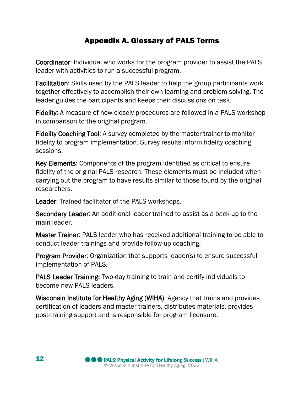# Appendix A. Glossary of PALS Terms

<span id="page-21-0"></span>Coordinator: Individual who works for the program provider to assist the PALS leader with activities to run a successful program.

Facilitation: Skills used by the PALS leader to help the group participants work together effectively to accomplish their own learning and problem solving. The leader guides the participants and keeps their discussions on task.

Fidelity: A measure of how closely procedures are followed in a PALS workshop in comparison to the original program.

Fidelity Coaching Tool: A survey completed by the master trainer to monitor fidelity to program implementation. Survey results inform fidelity coaching sessions.

Key Elements: Components of the program identified as critical to ensure fidelity of the original PALS research. These elements must be included when carrying out the program to have results similar to those found by the original researchers.

Leader: Trained facilitator of the PALS workshops.

Secondary Leader: An additional leader trained to assist as a back-up to the main leader.

Master Trainer: PALS leader who has received additional training to be able to conduct leader trainings and provide follow-up coaching.

Program Provider: Organization that supports leader(s) to ensure successful implementation of PALS.

PALS Leader Training: Two-day training to train and certify individuals to become new PALS leaders.

Wisconsin Institute for Healthy Aging (WIHA): Agency that trains and provides certification of leaders and master trainers, distributes materials, provides post-training support and is responsible for program licensure.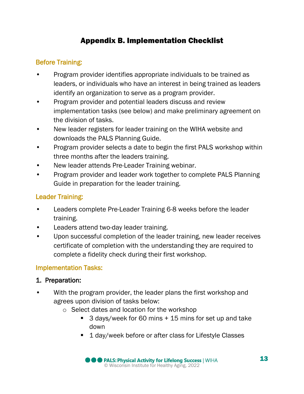# Appendix B. Implementation Checklist

#### <span id="page-22-0"></span>Before Training:

- Program provider identifies appropriate individuals to be trained as leaders, or individuals who have an interest in being trained as leaders identify an organization to serve as a program provider.
- Program provider and potential leaders discuss and review implementation tasks (see below) and make preliminary agreement on the division of tasks.
- New leader registers for leader training on the WIHA website and downloads the PALS Planning Guide.
- Program provider selects a date to begin the first PALS workshop within three months after the leaders training.
- New leader attends Pre-Leader Training webinar.
- Program provider and leader work together to complete PALS Planning Guide in preparation for the leader training.

#### Leader Training:

- Leaders complete Pre-Leader Training 6-8 weeks before the leader training.
- Leaders attend two-day leader training.
- Upon successful completion of the leader training, new leader receives certificate of completion with the understanding they are required to complete a fidelity check during their first workshop.

#### Implementation Tasks:

#### 1. Preparation:

- With the program provider, the leader plans the first workshop and agrees upon division of tasks below:
	- o Select dates and location for the workshop
		- 3 days/week for 60 mins + 15 mins for set up and take down
		- 1 day/week before or after class for Lifestyle Classes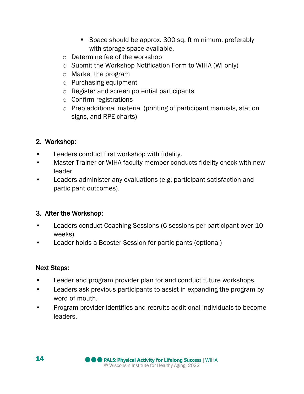- **Space should be approx. 300 sq. ft minimum, preferably** with storage space available.
- o Determine fee of the workshop
- o Submit the Workshop Notification Form to WIHA (WI only)
- o Market the program
- o Purchasing equipment
- o Register and screen potential participants
- o Confirm registrations
- o Prep additional material (printing of participant manuals, station signs, and RPE charts)

#### 2. Workshop:

- Leaders conduct first workshop with fidelity.
- Master Trainer or WIHA faculty member conducts fidelity check with new leader.
- Leaders administer any evaluations (e.g. participant satisfaction and participant outcomes).

#### 3. After the Workshop:

- Leaders conduct Coaching Sessions (6 sessions per participant over 10 weeks)
- Leader holds a Booster Session for participants (optional)

#### Next Steps:

- Leader and program provider plan for and conduct future workshops.
- Leaders ask previous participants to assist in expanding the program by word of mouth.
- Program provider identifies and recruits additional individuals to become leaders.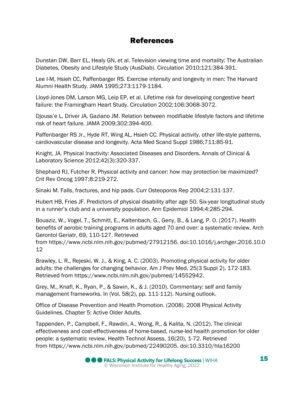#### References

<span id="page-24-0"></span>Dunstan DW, Barr EL, Healy GN, et al. Television viewing time and mortality: The Australian Diabetes, Obesity and Lifestyle Study (AusDiab). Circulation 2010;121:384-391.

Lee I-M, Hsieh CC, Paffenbarger RS. Exercise intensity and longevity in men: The Harvard Alumni Health Study. JAMA 1995;273:1179-1184.

Lloyd-Jones DM, Larson MG, Leip EP, et al. Lifetime risk for developing congestive heart failure: the Framingham Heart Study. Circulation 2002;106:3068-3072.

Djouss'e L, Driver JA, Gaziano JM. Relation between modifiable lifestyle factors and lifetime risk of heart failure. JAMA 2009;302:394-400.

Paffenbarger RS Jr., Hyde RT, Wing AL, Hsieh CC. Physical activity, other life-style patterns, cardiovascular disease and longevity. Acta Med Scand Suppl 1986;711:85-91.

Knight, JA. Physical Inactivity: Associated Diseases and Disorders. Annals of Clinical & Laboratory Science 2012;42(3):320-337.

Shephard RJ, Futcher R. Physical activity and cancer: how may protection be maximized? Crit Rev Oncog 1997;8:219-272.

Sinaki M. Falls, fractures, and hip pads. Curr Osteoporos Rep 2004;2:131-137.

Hubert HB, Fries JF. Predictors of physical disability after age 50. Six-year longitudinal study in a runner's club and a university population. Ann Epidemiol 1994;4:285-294.

Bouaziz, W., Vogel, T., Schmitt, E., Kaltenbach, G., Geny, B., & Lang, P. O. (2017). Health benefits of aerobic training programs in adults aged 70 and over: a systematic review. Arch Gerontol Geriatr, 69, 110-127. Retrieved

from https://www.ncbi.nlm.nih.gov/pubmed/27912156. doi:10.1016/j.archger.2016.10.0 12

Brawley, L. R., Rejeski, W. J., & King, A. C. (2003). Promoting physical activity for older adults: the challenges for changing behavior. Am J Prev Med, 25(3 Suppl 2), 172-183. Retrieved from https://www.ncbi.nlm.nih.gov/pubmed/14552942.

Grey, M., Knafl, K., Ryan, P., & Sawin, K., & J. (2010). Commentary: self and family management frameworks. In (Vol. 58(2), pp. 111-112). Nursing outlook.

Office of Disease Prevention and Health Promotion. (2008). 2008 Physical Activity Guidelines. Chapter 5: Active Older Adults.

Tappenden, P., Campbell, F., Rawdin, A., Wong, R., & Kalita, N. (2012). The clinical effectiveness and cost-effectiveness of home-based, nurse-led health promotion for older people: a systematic review. Health Technol Assess, 16(20), 1-72. Retrieved from https://www.ncbi.nlm.nih.gov/pubmed/22490205. doi:10.3310/hta16200